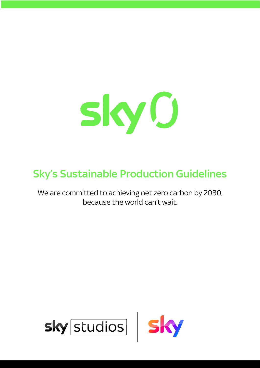

# Sky's Sustainable Production Guidelines

We are committed to achieving net zero carbon by 2030, because the world can't wait.



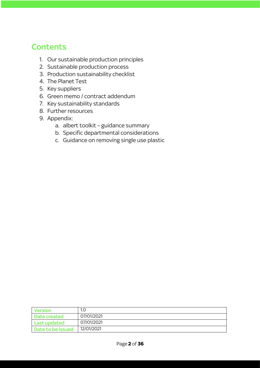## **Contents**

- 1. Our sustainable production principles
- 2. Sustainable production process
- 3. Production sustainability checklist
- 4. The Planet Test
- 5. Key suppliers
- 6. Green memo / contract addendum
- 7. Key sustainability standards
- 8. Further resources
- 9. Appendix:
	- a. albert toolkit guidance summary
	- b. Specific departmental considerations
	- c. Guidance on removing single use plastic

| <b>Version</b>    |            |
|-------------------|------------|
| Date created      | 07/01/2021 |
| Last updated      | 07/01/2021 |
| Date to be issued | 12/01/2021 |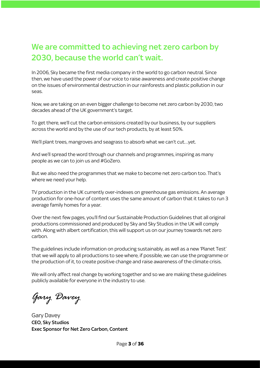# We are committed to achieving net zero carbon by 2030, because the world can't wait.

In 2006, Sky became the first media company in the world to go carbon neutral. Since then, we have used the power of our voice to raise awareness and create positive change on the issues of environmental destruction in our rainforests and plastic pollution in our seas.

Now, we are taking on an even bigger challenge to become net zero carbon by 2030, two decades ahead of the UK government's target.

To get there, we'll cut the carbon emissions created by our business, by our suppliers across the world and by the use of our tech products, by at least 50%.

We'll plant trees, mangroves and seagrass to absorb what we can't cut…yet.

And we'll spread the word through our channels and programmes, inspiring as many people as we can to join us and #GoZero.

But we also need the programmes that we make to become net zero carbon too. That's where we need your help.

TV production in the UK currently over-indexes on greenhouse gas emissions. An average production for one-hour of content uses the same amount of carbon that it takes to run 3 average family homes for a year.

Over the next few pages, you'll find our Sustainable Production Guidelines that all original productions commissioned and produced by Sky and Sky Studios in the UK will comply with. Along with albert certification, this will support us on our journey towards net zero carbon.

The guidelines include information on producing sustainably, as well as a new 'Planet Test' that we will apply to all productions to see where, if possible, we can use the programme or the production of it, to create positive change and raise awareness of the climate crisis.

We will only affect real change by working together and so we are making these guidelines publicly available for everyone in the industry to use.

*Gary Davey*

Gary Davey CEO, Sky Studios Exec Sponsor for Net Zero Carbon, Content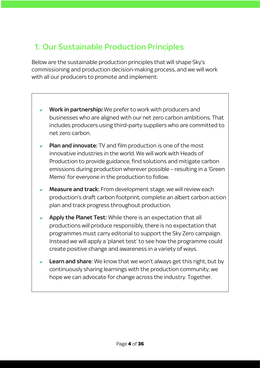# 1. Our Sustainable Production Principles

Below are the sustainable production principles that will shape Sky's commissioning and production decision-making process, and we will work with all our producers to promote and implement:

- Work in partnership**:** We prefer to work with producers and  $\mathbf{z}$ businesses who are aligned with our net zero carbon ambitions. That includes producers using third-party suppliers who are committed to net zero carbon.
- Plan and innovate: TV and film production is one of the most innovative industries in the world. We will work with Heads of Production to provide guidance, find solutions and mitigate carbon emissions during production wherever possible – resulting in a 'Green Memo' for everyone in the production to follow.
- Measure and track: From development stage, we will review each  $\mathbf{z}$ production's draft carbon footprint, complete an albert carbon action plan and track progress throughout production.
- Apply the Planet Test: While there is an expectation that all  $\mathbf{z}$ productions will produce responsibly, there is no expectation that programmes must carry editorial to support the Sky Zero campaign. Instead we will apply a 'planet test' to see how the programme could create positive change and awareness in a variety of ways.
- Learn and share: We know that we won't always get this right, but by continuously sharing learnings with the production community, we hope we can advocate for change across the industry. Together.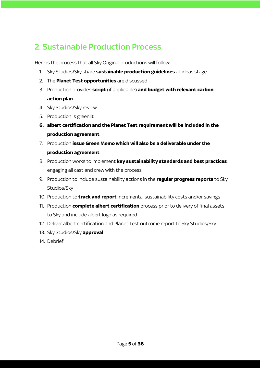## 2. Sustainable Production Process

Here is the process that all Sky Original productions will follow:

- 1. Sky Studios/Sky share **sustainable production guidelines** at ideas stage
- 2. The **Planet Test opportunities** are discussed
- 3. Production provides **script** (if applicable) **and budget with relevant carbon action plan**
- 4. Sky Studios/Sky review
- 5. Production is greenlit
- **6. albert certification and the Planet Test requirement will be included in the production agreement**
- 7. Production **issue Green Memo which will also be a deliverable under the production agreement**
- 8. Production works to implement **key sustainability standards and best practices**, engaging all cast and crew with the process
- 9. Production to include sustainability actions in the **regular progress reports** to Sky Studios/Sky
- 10. Production to **track and report** incremental sustainability costs and/or savings
- 11. Production **complete albert certification** process prior to delivery of final assets to Sky and include albert logo as required
- 12. Deliver albert certification and Planet Test outcome report to Sky Studios/Sky
- 13. Sky Studios/Sky **approval**
- 14. Debrief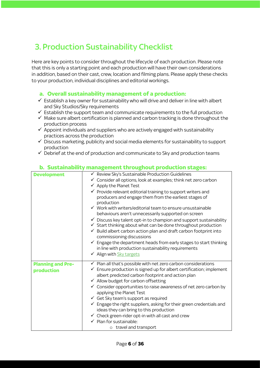# 3. Production Sustainability Checklist

Here are key points to consider throughout the lifecycle of each production. Please note that this is only a starting point and each production will have their own considerations in addition, based on their cast, crew, location and filming plans. Please apply these checks to your production, individual disciplines and editorial workings.

### **a. Overall sustainability management of a production:**

- $\checkmark$  Establish a key owner for sustainability who will drive and deliver in line with albert and Sky Studios/Sky requirements
- $\checkmark$  Establish the support team and communicate requirements to the full production
- $\checkmark$  Make sure albert certification is planned and carbon tracking is done throughout the production process
- $\checkmark$  Appoint individuals and suppliers who are actively engaged with sustainability practices across the production
- $\checkmark$  Discuss marketing, publicity and social media elements for sustainability to support production
- $\checkmark$  Debrief at the end of production and communicate to Sky and production teams

| <b>Development</b>       | ← Review Sky's Sustainable Production Guidelines                                                                                |
|--------------------------|---------------------------------------------------------------------------------------------------------------------------------|
|                          | $\checkmark$ Consider all options, look at examples; think net zero carbon                                                      |
|                          | $\checkmark$ Apply the Planet Test                                                                                              |
|                          | $\checkmark$ Provide relevant editorial training to support writers and                                                         |
|                          | producers and engage them from the earliest stages of                                                                           |
|                          | production                                                                                                                      |
|                          | $\checkmark$ Work with writers/editorial team to ensure unsustainable                                                           |
|                          | behaviours aren't unnecessarily supported on screen                                                                             |
|                          | $\checkmark$ Discuss key talent opt-in to champion and support sustainability                                                   |
|                          | $\checkmark$ Start thinking about what can be done throughout production                                                        |
|                          | $\checkmark$ Build albert carbon action plan and draft carbon footprint into                                                    |
|                          | commissioning discussions                                                                                                       |
|                          | $\checkmark$ Engage the department heads from early stages to start thinking                                                    |
|                          | in line with production sustainability requirements                                                                             |
|                          |                                                                                                                                 |
|                          | ← Align with Sky targets                                                                                                        |
|                          | $\checkmark$ Plan all that's possible with net zero carbon considerations                                                       |
| <b>Planning and Pre-</b> | $\checkmark$ Ensure production is signed up for albert certification; implement                                                 |
| production               | albert predicted carbon footprint and action plan                                                                               |
|                          |                                                                                                                                 |
|                          | $\checkmark$ Allow budget for carbon offsetting<br>$\checkmark$ Consider opportunities to raise awareness of net zero carbon by |
|                          |                                                                                                                                 |
|                          | applying the Planet Test                                                                                                        |
|                          | $\checkmark$ Get Sky team's support as required                                                                                 |
|                          | $\checkmark$ Engage the right suppliers, asking for their green credentials and                                                 |
|                          | ideas they can bring to this production                                                                                         |
|                          | $\checkmark$ Check green-rider opt-in with all cast and crew<br>$\checkmark$ Plan for sustainable:                              |

### **b. Sustainability management throughout production stages:**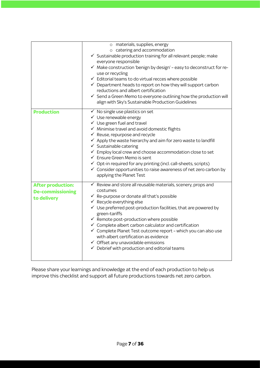|                                                                    | o materials, supplies, energy<br>o catering and accommodation<br>$\checkmark$ Sustainable production training for all relevant people; make<br>everyone responsible<br>√ Make construction 'benign by design' - easy to deconstruct for re-<br>use or recycling<br>$\checkmark$ Editorial teams to do virtual recces where possible<br>$\checkmark$ Department heads to report on how they will support carbon<br>reductions and albert certification<br>$\checkmark$ Send a Green Memo to everyone outlining how the production will<br>align with Sky's Sustainable Production Guidelines                                                                     |
|--------------------------------------------------------------------|-----------------------------------------------------------------------------------------------------------------------------------------------------------------------------------------------------------------------------------------------------------------------------------------------------------------------------------------------------------------------------------------------------------------------------------------------------------------------------------------------------------------------------------------------------------------------------------------------------------------------------------------------------------------|
| <b>Production</b>                                                  | $\checkmark$ No single use plastics on set<br>$\checkmark$ Use renewable energy<br>$\checkmark$ Use green fuel and travel<br>$\checkmark$ Minimise travel and avoid domestic flights<br>$\checkmark$ Reuse, repurpose and recycle<br>$\checkmark$ Apply the waste hierarchy and aim for zero waste to landfill<br>$\checkmark$ Sustainable catering<br>$\checkmark$ Employ local crew and choose accommodation close to set<br>$\checkmark$ Ensure Green Memo is sent<br>$\checkmark$ Opt-in required for any printing (incl. call-sheets, scripts)<br>$\checkmark$ Consider opportunities to raise awareness of net zero carbon by<br>applying the Planet Test |
| <b>After production:</b><br><b>De-commissioning</b><br>to delivery | $\checkmark$ Review and store all reusable materials, scenery, props and<br>costumes<br>$\checkmark$ Re-purpose or donate all that's possible<br>$\checkmark$ Recycle everything else<br>$\checkmark$ Use preferred post-production facilities, that are powered by<br>green-tariffs<br>$\checkmark$ Remote post-production where possible<br>$\checkmark$ Complete albert carbon calculator and certification<br>$\checkmark$ Complete Planet Test outcome report - which you can also use<br>with albert certification as evidence<br>$\checkmark$ Offset any unavoidable emissions<br>$\checkmark$ Debrief with production and editorial teams               |

Please share your learnings and knowledge at the end of each production to help us improve this checklist and support all future productions towards net zero carbon.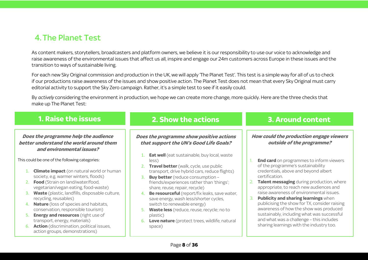## 4. The Planet Test

As content makers, storytellers, broadcasters and platform owners, we believe it is our responsibility to use our voice to acknowledge and raise awareness of the environmental issues that affect us all, inspire and engage our 24m customers across Europe in these issues and the transition to ways of sustainable living.

For each new Sky Original commission and production in the UK, we will apply 'The Planet Test'. This test is a simple way for all of us to check if our productions raise awareness of the issues and show positive action. The Planet Test does not mean that every Sky Original must carry editorial activity to support the Sky Zero campaign. Rather, it's a simple test to see if it easily could.

By *actively* considering the environment in production, we hope we can create more change, more quickly. Here are the three checks that make up The Planet Test:

| <b>1. Raise the issues</b>                                                                                   |                                                                                           | <b>2. Show the actions</b>                                                                                         | <b>3. Around content</b>                                                                      |  |
|--------------------------------------------------------------------------------------------------------------|-------------------------------------------------------------------------------------------|--------------------------------------------------------------------------------------------------------------------|-----------------------------------------------------------------------------------------------|--|
| Does the programme help the audience<br>better understand the world around them<br>and environmental issues? |                                                                                           | Does the programme show positive actions<br>that support the UN's Good Life Goals?                                 | How could the production engage viewers<br>outside of the programme?                          |  |
|                                                                                                              | This could be one of the following categories:                                            | <b>Eat well</b> (eat sustainable, buy local, waste<br>less)<br><b>Travel better</b> (walk, cycle, use public<br>2. | <b>End card</b> on programmes to inform viewers<br>of the programme's sustainability          |  |
|                                                                                                              | <b>Climate impact</b> (on natural world or human<br>society, e.g. warmer winters, floods) | transport, drive hybrid cars, reduce flights)<br><b>Buy better</b> (reduce consumption -<br>3.                     | credentials, above and beyond albert<br>certification.                                        |  |
|                                                                                                              | 2. Food (Strain on land/water/food,<br>vegetarian/vegan eating, food-waste)               | friends/experiences rather than 'things';<br>share, reuse, repair, recycle)                                        | Talent messaging during production, where<br>2.<br>appropriate, to reach new audiences and    |  |
| 3.                                                                                                           | <b>Waste</b> (plastic, landfills, disposable culture,<br>recycling, reusables)            | Be resourceful (report/fix leaks, save water,<br>4.<br>save energy, wash less/shorter cycles,                      | raise awareness of environmental issues.<br><b>Publicity and sharing learnings when</b><br>3. |  |
| 4.                                                                                                           | <b>Nature</b> (loss of species and habitats,<br>conservation, responsible tourism)        | switch to renewable energy)<br>Waste less (reduce, reuse, recycle; no to<br>5.                                     | publicising the show for TX, consider raising<br>awareness of how the show was produced       |  |
| 5.                                                                                                           | <b>Energy and resources</b> (right use of<br>transport, energy, materials)                | plastic)<br>Love nature (protect trees, wildlife, natural<br>6.                                                    | sustainably, including what was successful<br>and what was a challenge - this includes        |  |
| 6.                                                                                                           | <b>Action</b> (discrimination, political issues,<br>action groups, demonstrations)        | space)                                                                                                             | sharing learnings with the industry too.                                                      |  |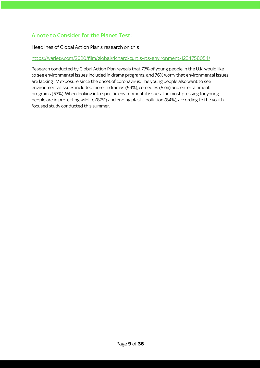### A note to Consider for the Planet Test:

Headlines of Global Action Plan's research on this

#### https://variety.com/2020/film/global/richard-curtis-rts-environment-1234758054/

Research conducted by Global Action Plan reveals that 77% of young people in the U.K. would like to see environmental issues included in drama programs, and 76% worry that environmental issues are lacking TV exposure since the onset of coronavirus. The young people also want to see environmental issues included more in dramas (59%), comedies (57%) and entertainment programs (57%). When looking into specific environmental issues, the most pressing for young people are in protecting wildlife (87%) and ending plastic pollution (84%), according to the youth focused study conducted this summer.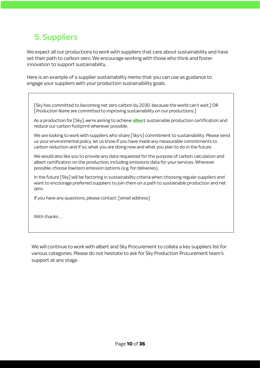# 5. Suppliers

We expect all our productions to work with suppliers that care about sustainability and have set their path to carbon-zero. We encourage working with those who think and foster innovation to support sustainability.

Here is an example of a supplier sustainability memo that you can use as guidance to engage your suppliers with your production sustainability goals.

[Sky has committed to becoming net zero carbon by 2030, because the world can't wait.] OR [*Production Name* are committed to improving sustainability on our productions.]

As a production for [Sky], we're aiming to achieve **albert** sustainable production certification and reduce our carbon footprint wherever possible.

We are looking to work with suppliers who share [Sky's] commitment to sustainability. Please send us your environmental policy, let us know if you have made any measurable commitments to carbon reduction and if so, what you are doing now and what you plan to do in the future.

We would also like you to provide any data requested for the purpose of carbon calculation and albert certification on the production, including emissions data for your services. Wherever possible, choose low/zero emission options (e.g. for deliveries).

In the future [Sky] will be factoring in sustainability criteria when choosing regular suppliers and want to encourage preferred suppliers to join them on a path to sustainable production and net zero.

If you have any questions, please contact: [email address]

With thanks …

We will continue to work with albert and Sky Procurement to collate a key suppliers list for various categories. Please do not hesitate to ask for Sky Production Procurement team's support at any stage.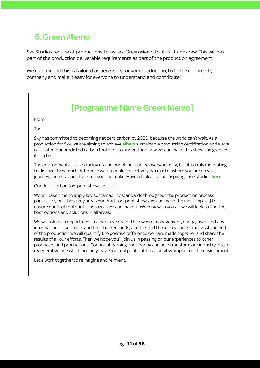# 6.Green Memo

Sky Studios require all productions to issue a Green Memo to all cast and crew. This will be a part of the production deliverable requirements as part of the production agreement.

We recommend this is tailored as necessary for your production, to fit the culture of your company and make it easy for everyone to understand and contribute!

# [Programme Name Green Memo]

From:

To:

Sky has committed to becoming net zero carbon by 2030, because the world can't wait. As a production for Sky, we are aiming to achieve **albert** sustainable production certification and we've calculated our predicted carbon footprint to understand how we can make this show the greenest it can be.

The environmental issues facing us and our planet can be overwhelming, but it is truly motivating to discover how much difference we can make collectively. No matter where you are on your journey, there is a positive step you can make. Have a look at some inspiring case studies **here**.

Our draft carbon footprint shows us that…

We will take time to apply key sustainability standards throughout the production process, particularly on [these key areas our draft footprint shows we can make the most impact] to ensure our final footprint is as low as we can make it. Working with you all, we will look to find the best options and solutions in all areas.

We will ask each department to keep a record of their waste management, energy used and any information on suppliers and their backgrounds, and to send these to <name, email>. At the end of the production we will quantify the positive difference we have made together and share the results of all our efforts. Then we hope you'll join us in passing on our experiences to other producers and productions. Continual learning and sharing can help transform our industry into a regenerative one which not only leaves no footprint but has a positive impact on the environment.

Let's work together to reimagine and reinvent.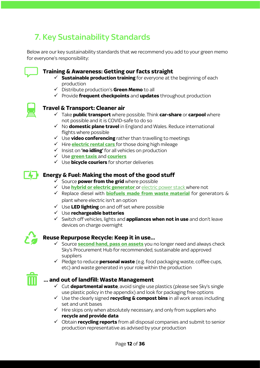# 7. Key Sustainability Standards

Below are our key sustainability standards that we recommend you add to your green memo for everyone's responsibility:



### **Training & Awareness: Getting our facts straight**

- $\checkmark$  **Sustainable production training** for everyone at the beginning of each production
- ü Distribute production's **Green Memo** to all
- ü Provide **frequent checkpoints** and **updates** throughout production



### **Travel & Transport: Cleaner air**

- ü Take **public transport** where possible. Think **car-share** or **carpool** where not possible and it is COVID-safe to do so
- ü No **domestic plane travel** in England and Wales. Reduce international flights where possible
- $\checkmark$  Use **video conferencing** rather than travelling to meetings
- ü Hire **electric rental cars** for those doing high mileage
- $\checkmark$  Insist on **'no idling'** for all vehicles on production
- ü Use **green taxis** and **couriers**
- ü Use **bicycle couriers** for shorter deliveries

### **Energy & Fuel: Making the most of the good stuff**

- ü Source **power from the grid** where possible
- **✓** Use hybrid or electric generator or electric power stack where not
- $\checkmark$  Replace diesel with **biofuels made from waste material** for generators  $\&$ plant where electric isn't an option
- $\checkmark$  Use **LED lighting** on and off set where possible
- ü Use **rechargeable batteries**
- ü Switch off vehicles, lights and **appliances when not in use** and don't leave devices on charge overnight



### **Reuse Repurpose Recycle: Keep it in use…**

- Source **second hand, pass on assets** you no longer need and always check Sky's Procurement Hub for recommended, sustainable and approved suppliers
- $\checkmark$  Pledge to reduce **personal waste** (e.g. food packaging waste, coffee cups, etc) and waste generated in your role within the production



### **… and out of landfill: Waste Management**

- ü Cut **departmental waste**, avoid single use plastics (please see Sky's single use plastic policy in the appendix) and look for packaging free options
- $\checkmark$  Use the clearly signed **recycling & compost bins** in all work areas including set and unit bases
- $\checkmark$  Hire skips only when absolutely necessary, and only from suppliers who **recycle and provide data**
- $\checkmark$  Obtain **recycling reports** from all disposal companies and submit to senior production representative as advised by your production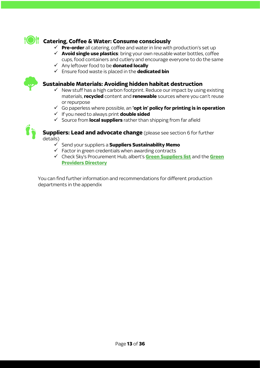

# **Catering, Coffee & Water: Consume consciously**

- $\checkmark$  **Pre-order** all catering, coffee and water in line with production's set up
- ü **Avoid single use plastics**: bring your own reusable water bottles, coffee cups, food containers and cutlery and encourage everyone to do the same
- ü Any leftover food to be **donated locally**
- ü Ensure food waste is placed in the **dedicated bin**



#### **Sustainable Materials: Avoiding hidden habitat destruction**

- $\checkmark$  New stuff has a high carbon footprint. Reduce our impact by using existing materials, **recycled** content and **renewable** sources where you can't reuse or repurpose
- ü Go paperless where possible, an **'opt in' policy for printing is in operation**
- ü If you need to always print **double sided**
- ü Source from **local suppliers** rather than shipping from far afield



**Suppliers: Lead and advocate change** (please see section 6 for further details)

- ü Send your suppliers a **Suppliers Sustainability Memo**
- $\checkmark$  Factor in green credentials when awarding contracts
- ü Check Sky's Procurement Hub, albert's **Green Suppliers list** and the **Green Providers Directory**

You can find further information and recommendations for different production departments in the appendix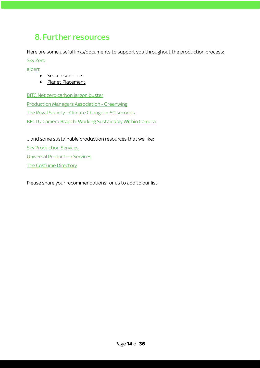## 8. Further resources

Here are some useful links/documents to support you throughout the production process:

Sky Zero

albert

- Search suppliers
- Planet Placement

BITC Net zero carbon jargon buster Production Managers Association - Greenwing The Royal Society – Climate Change in 60 seconds **BECTU Camera Branch: Working Sustainably Within Camera** 

…and some sustainable production resources that we like:

Sky Production Services

Universal Production Services

The Costume Directory

Please share your recommendations for us to add to our list.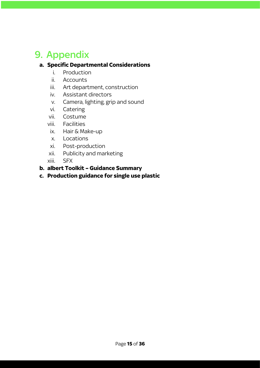# 9. Appendix

### **a. Specific Departmental Considerations**

- i. Production
- ii. Accounts
- iii. Art department, construction
- iv. Assistant directors
- v. Camera, lighting, grip and sound
- vi. Catering
- vii. Costume
- viii. Facilities
	- ix. Hair & Make-up
	- x. Locations
- xi. Post-production
- xii. Publicity and marketing
- xiii. SFX

### **b. albert Toolkit – Guidance Summary**

**c. Production guidance for single use plastic**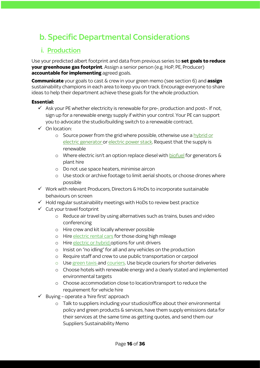# b. Specific Departmental Considerations

## i. Production

Use your predicted albert footprint and data from previous series to **set goals to reduce your greenhouse gas footprint**. Assign a senior person (e.g. HoP, PE, Producer) **accountable for implementing** agreed goals.

**Communicate** your goals to cast & crew in your green memo (see section 6) and **assign** sustainability champions in each area to keep you on track. Encourage everyone to share ideas to help their department achieve these goals for the whole production.

#### **Essential:**

- $\checkmark$  Ask your PE whether electricity is renewable for pre-, production and post-. If not, sign up for a renewable energy supply if within your control. Your PE can support you to advocate the studio/building switch to a renewable contract.
- $\checkmark$  On location:
	- o Source power from the grid where possible, otherwise use a hybrid or electric generator or electric power stack. Request that the supply is renewable
	- $\circ$  Where electric isn't an option replace diesel with biofuel for generators & plant hire
	- o Do not use space heaters, minimise aircon
	- o Use stock or archive footage to limit aerial shoots, or choose drones where possible
- $\checkmark$  Work with relevant Producers, Directors & HoDs to incorporate sustainable behaviours on screen
- $\checkmark$  Hold regular sustainability meetings with HoDs to review best practice
- $\checkmark$  Cut your travel footprint
	- o Reduce air travel by using alternatives such as trains, buses and video conferencing
	- o Hire crew and kit locally wherever possible
	- o Hire electric rental cars for those doing high mileage
	- o Hire electric or hybrid options for unit drivers
	- o Insist on "no idling" for all and any vehicles on the production
	- o Require staff and crew to use public transportation or carpool
	- o Use green taxis and couriers. Use bicycle couriers for shorter deliveries
	- o Choose hotels with renewable energy and a clearly stated and implemented environmental targets
	- o Choose accommodation close to location/transport to reduce the requirement for vehicle hire
- $\checkmark$  Buying operate a 'hire first' approach
	- o Talk to suppliers including your studios/office about their environmental policy and green products & services, have them supply emissions data for their services at the same time as getting quotes, and send them our Suppliers Sustainability Memo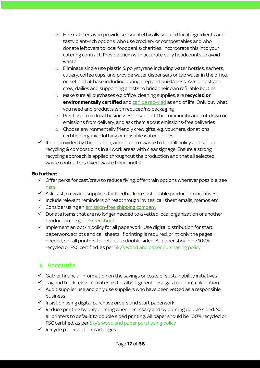- o Hire Caterers who provide seasonal ethically sourced local ingredients and tasty plant-rich options, who use crockery or compostables and who donate leftovers to local foodbanks/charities. Incorporate this into your catering contract. Provide them with accurate daily headcounts to avoid waste
- $\circ$  Eliminate single use plastic & polystyrene including water bottles, sachets, cutlery, coffee cups, and provide water dispensers or tap water in the office, on set and at base including during prep and build/dress. Ask all cast and crew, dailies and supporting artists to bring their own refillable bottles
- o Make sure all purchases e.g office, cleaning supplies, are **recycled or environmentally certified** and can be recycled at end of life. Only buy what you need and products with reduced/no packaging
- o Purchase from local businesses to support the community and cut down on emissions from delivery, and ask them about emissions-free deliveries
- o Choose environmentally friendly crew gifts, e.g. vouchers, donations, certified organic clothing or reusable water bottles
- $\checkmark$  If not provided by the location, adopt a zero-waste to landfill policy and set up recycling & compost bins in all work areas with clear signage. Ensure a strong recycling approach is applied throughout the production and that all selected waste contractors divert waste from landfill.

### **Go further:**

- $\checkmark$  Offer perks for cast/crew to reduce flying, offer train options wherever possible, see here
- $\checkmark$  Ask cast, crew and suppliers for feedback on sustainable production initiatives
- $\checkmark$  Include relevant reminders on readthrough invites, call sheet emails, memos etc
- $\checkmark$  Consider using an emission-free shipping company
- $\checkmark$  Donate items that are no longer needed to a vetted local organization or another production – e.g. to Greenshoot
- $\checkmark$  Implement an opt-in policy for all paperwork. Use digital distribution for start paperwork, scripts and call sheets. If printing is required, print only the pages needed, set all printers to default to double sided. All paper should be 100% recycled or FSC certified, as per Sky's wood and paper purchasing policy.

## ii. Accounts

- $\checkmark$  Gather financial information on the savings or costs of sustainability initiatives
- $\checkmark$  Tag and track relevant materials for albert greenhouse gas footprint calculation
- $\checkmark$  Audit supplier use and only use suppliers who have been vetted as a responsible business
- $\checkmark$  Insist on using digital purchase orders and start paperwork
- $\checkmark$  Reduce printing by only printing when necessary and by printing double sided. Set all printers to default to double sided printing. All paper should be 100% recycled or FSC certified, as per Sky's wood and paper purchasing policy
- $\checkmark$  Recycle paper and ink cartridges.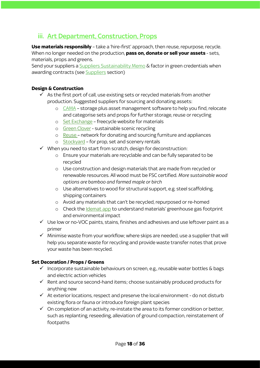## iii. Art Department, Construction, Props

**Use materials responsibly** – take a 'hire-first' approach, then reuse, repurpose, recycle. When no longer needed on the production, **pass on, donate or sell your assets** - sets, materials, props and greens.

Send your suppliers a Suppliers Sustainability Memo & factor in green credentials when awarding contracts (see Suppliers section)

#### **Design & Construction**

- $\checkmark$  As the first port of call, use existing sets or recycled materials from another production. Suggested suppliers for sourcing and donating assets:
	- o CAMA storage plus asset management software to help you find, relocate and categorise sets and props for further storage, reuse or recycling
	- o Set Exchange freecycle website for materials
	- o Green Clover sustainable scenic recycling
	- o Reuse network for donating and sourcing furniture and appliances
	- o Stockyard for prop, set and scenery rentals
- $\checkmark$  When you need to start from scratch, design for deconstruction:
	- o Ensure your materials are recyclable and can be fully separated to be recycled
	- o Use construction and design materials that are made from recycled or renewable resources. All wood must be FSC certified. *More sustainable wood options are bamboo and farmed maple or birch*
	- o Use alternatives to wood for structural support, e.g. steel scaffolding, shipping containers
	- o Avoid any materials that can't be recycled, repurposed or re-homed
	- o Check the Idemat app to understand materials' greenhouse gas footprint and environmental impact
- $\checkmark$  Use low or no-VOC paints, stains, finishes and adhesives and use leftover paint as a primer
- $\checkmark$  Minimise waste from your workflow; where skips are needed, use a supplier that will help you separate waste for recycling and provide waste transfer notes that prove your waste has been recycled.

#### **Set Decoration / Props / Greens**

- $\checkmark$  Incorporate sustainable behaviours on screen, e.g., reusable water bottles & bags and electric action vehicles
- $\checkmark$  Rent and source second-hand items; choose sustainably produced products for anything new
- $\checkmark$  At exterior locations, respect and preserve the local environment do not disturb existing flora or fauna or introduce foreign plant species
- $\checkmark$  On completion of an activity, re-instate the area to its former condition or better, such as replanting, reseeding, alleviation of ground compaction, reinstatement of footpaths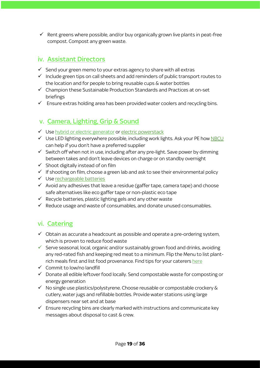$\checkmark$  Rent greens where possible, and/or buy organically grown live plants in peat-free compost. Compost any green waste.

## iv. Assistant Directors

- $\checkmark$  Send your green memo to your extras agency to share with all extras
- $\checkmark$  Include green tips on call sheets and add reminders of public transport routes to the location and for people to bring reusable cups & water bottles
- $\checkmark$  Champion these Sustainable Production Standards and Practices at on-set briefings
- $\checkmark$  Ensure extras holding area has been provided water coolers and recycling bins.

## v. Camera, Lighting, Grip & Sound

- $\checkmark$  Use hybrid or electric generator or electric powerstack
- $\checkmark$  Use LED lighting everywhere possible, including work lights. Ask your PE how NBCU can help if you don't have a preferred supplier
- $\checkmark$  Switch off when not in use, including after any pre-light. Save power by dimming between takes and don't leave devices on charge or on standby overnight
- $\checkmark$  Shoot digitally instead of on film
- $\checkmark$  If shooting on film, choose a green lab and ask to see their environmental policy
- $\checkmark$  Use rechargeable batteries
- $\checkmark$  Avoid any adhesives that leave a residue (gaffer tape, camera tape) and choose safe alternatives like eco gaffer tape or non-plastic eco tape
- $\checkmark$  Recycle batteries, plastic lighting gels and any other waste
- $\checkmark$  Reduce usage and waste of consumables, and donate unused consumables.

## vi. Catering

- $\checkmark$  Obtain as accurate a headcount as possible and operate a pre-ordering system, which is proven to reduce food waste
- $\checkmark$  Serve seasonal, local, organic and/or sustainably grown food and drinks, avoiding any red-rated fish and keeping red meat to a minimum. Flip the Menu to list plantrich meals first and list food provenance. Find tips for your caterers here
- $\checkmark$  Commit to low/no landfill
- $\checkmark$  Donate all edible leftover food locally. Send compostable waste for composting or energy generation
- $\checkmark$  No single use plastics/polystyrene. Choose reusable or compostable crockery  $\&$ cutlery, water jugs and refillable bottles. Provide water stations using large dispensers near set and at base
- $\checkmark$  Ensure recycling bins are clearly marked with instructions and communicate key messages about disposal to cast & crew.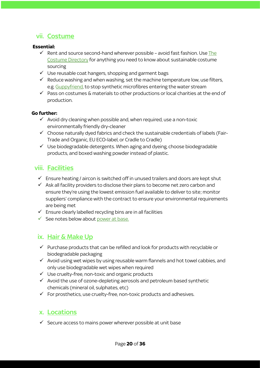## vii. Costume

#### **Essential:**

- $\checkmark$  Rent and source second-hand wherever possible avoid fast fashion. Use The Costume Directory for anything you need to know about sustainable costume sourcing
- $\checkmark$  Use reusable coat hangers, shopping and garment bags
- $\checkmark$  Reduce washing and when washing, set the machine temperature low, use filters, e.g. Guppyfriend, to stop synthetic microfibres entering the water stream
- $\checkmark$  Pass on costumes & materials to other productions or local charities at the end of production.

### **Go further:**

- $\checkmark$  Avoid dry cleaning when possible and, when required, use a non-toxic environmentally friendly dry-cleaner
- $\checkmark$  Choose naturally dyed fabrics and check the sustainable credentials of labels (Fair-Trade and Organic, EU ECO-label, or Cradle to Cradle)
- $\checkmark$  Use biodegradable detergents. When aging and dyeing, choose biodegradable products, and boxed washing powder instead of plastic.

### viii. Facilities

- $\checkmark$  Ensure heating / aircon is switched off in unused trailers and doors are kept shut
- $\checkmark$  Ask all facility providers to disclose their plans to become net zero carbon and ensure they're using the lowest emission fuel available to deliver to site; monitor suppliers' compliance with the contract to ensure your environmental requirements are being met
- $\checkmark$  Ensure clearly labelled recycling bins are in all facilities
- $\checkmark$  See notes below about power at base.

### ix. Hair & Make Up

- $\checkmark$  Purchase products that can be refilled and look for products with recyclable or biodegradable packaging
- $\checkmark$  Avoid using wet wipes by using reusable warm flannels and hot towel cabbies, and only use biodegradable wet wipes when required
- $\checkmark$  Use cruelty-free, non-toxic and organic products
- $\checkmark$  Avoid the use of ozone-depleting aerosols and petroleum based synthetic chemicals (mineral oil, sulphates, etc)
- $\checkmark$  For prosthetics, use cruelty-free, non-toxic products and adhesives.

## x. Locations

 $\checkmark$  Secure access to mains power wherever possible at unit base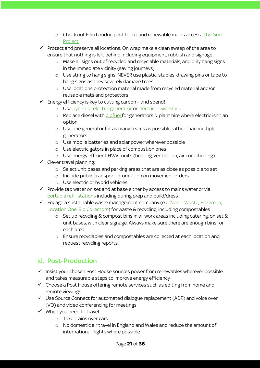- o Check out Film London pilot to expand renewable mains access, 'The Grid Project'
- $\checkmark$  Protect and preserve all locations. On wrap make a clean sweep of the area to ensure that nothing is left behind including equipment, rubbish and signage.
	- o Make all signs out of recycled and recyclable materials, and only hang signs in the immediate vicinity (saving journeys)
	- o Use string to hang signs. NEVER use plastic, staples, drawing pins or tape to hang signs as they severely damage trees;
	- o Use locations protection material made from recycled material and/or reusable mats and protectors
- $\checkmark$  Energy efficiency is key to cutting carbon and spend!
	- o Use hybrid or electric generator or electric powerstack
	- o Replace diesel with biofuel for generators & plant hire where electric isn't an option
	- o Use one generator for as many teams as possible rather than multiple generators
	- o Use mobile batteries and solar power wherever possible
	- o Use electric gators in place of combustion ones
	- o Use energy efficient HVAC units (heating, ventilation, air conditioning)
- $\checkmark$  Clever travel planning:
	- o Select unit bases and parking areas that are as close as possible to set
	- o Include public transport information on movement orders
	- o Use electric or hybrid vehicles
- $\checkmark$  Provide tap water on set and at base either by access to mains water or via portable refill stations including during prep and build/dress
- $\checkmark$  Engage a sustainable waste management company (e.g. Noble Waste, Hazgreen, Location One, Bio Collectors) for waste & recycling, including compostables
	- o Set up recycling & compost bins in all work areas including catering, on set & unit bases, with clear signage. Always make sure there are enough bins for each area
	- o Ensure recyclables and compostables are collected at each location and request recycling reports.

## xi. Post-Production

- $\checkmark$  Insist your chosen Post House sources power from renewables wherever possible, and takes measurable steps to improve energy efficiency
- $\checkmark$  Choose a Post House offering remote services such as editing from home and remote viewings
- $\checkmark$  Use Source Connect for automated dialogue replacement (ADR) and voice over (VO) and video conferencing for meetings
- $\checkmark$  When you need to travel
	- o Take trains over cars
	- o No domestic air travel in England and Wales and reduce the amount of international flights where possible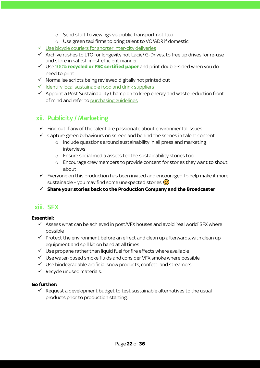- o Send staff to viewings via public transport not taxi
- o Use green taxi firms to bring talent to VO/ADR if domestic
- $\checkmark$  Use bicycle couriers for shorter inter-city deliveries
- $\checkmark$  Archive rushes to LTO for longevity not Lacie/ G-Drives, to free up drives for re-use and store in safest, most efficient manner
- $\checkmark$  Use 100% **recycled or FSC certified paper** and print double-sided when you do need to print
- $\checkmark$  Normalise scripts being reviewed digitally not printed out
- $\checkmark$  Identify local sustainable food and drink suppliers
- $\checkmark$  Appoint a Post Sustainability Champion to keep energy and waste reduction front of mind and refer to purchasing guidelines

## xii. Publicity / Marketing

- $\checkmark$  Find out if any of the talent are passionate about environmental issues
- $\checkmark$  Capture green behaviours on screen and behind the scenes in talent content
	- o Include questions around sustainability in all press and marketing interviews
	- o Ensure social media assets tell the sustainability stories too
	- o Encourage crew members to provide content for stories they want to shout about
- $\checkmark$  Everyone on this production has been invited and encouraged to help make it more sustainable – you may find some unexpected stories  $\circled{c}$
- $\checkmark$  Share your stories back to the Production Company and the Broadcaster

## xiii. SFX

### **Essential:**

- $\checkmark$  Assess what can be achieved in post/VFX houses and avoid 'real world' SFX where possible
- $\checkmark$  Protect the environment before an effect and clean up afterwards, with clean up equipment and spill kit on hand at all times
- $\checkmark$  Use propane rather than liquid fuel for fire effects where available
- $\checkmark$  Use water-based smoke fluids and consider VFX smoke where possible
- $\checkmark$  Use biodegradable artificial snow products, confetti and streamers
- $\checkmark$  Recycle unused materials.

### **Go further:**

 $\checkmark$  Request a development budget to test sustainable alternatives to the usual products prior to production starting.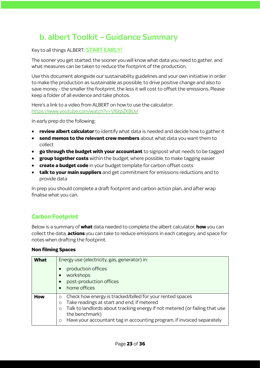# b. albert Toolkit – Guidance Summary

Key to all things ALBERT: START EARLY!

The sooner you get started, the sooner you will know what data you need to gather, and what measures can be taken to reduce the footprint of the production.

Use this document alongside our sustainability guidelines and your own initiative in order to make the production as sustainable as possible, to drive positive change and also to save money - the smaller the footprint, the less it will cost to offset the emissions. Please keep a folder of all evidence and take photos.

Here's a link to a video from ALBERT on how to use the calculator: https://www.youtube.com/watch?v=Vl6tpZK8UvI

In early prep do the following:

- **review albert calculator** to identify what data is needed and decide how to gather it
- **send memos to the relevant crew members** about what data you want them to collect
- **go through the budget with your accountant** to signpost what needs to be tagged
- **group together costs** within the budget, where possible, to make tagging easier
- **create a budget code** in your budget template for carbon offset costs
- **talk to your main suppliers** and get commitment for emissions reductions and to provide data

In prep you should complete a draft footprint and carbon action plan, and after wrap finalise what you can.

### **Carbon Footprint**

Below is a summary of **what** data needed to complete the albert calculator, **how** you can collect the data, **actions** you can take to reduce emissions in each category, and space for notes when drafting the footprint.

#### **Non filming Spaces**

| <b>What</b> | Energy use (electricity, gas, generator) in:<br>production offices<br>workshops                                                                                                                                                                                                                          |
|-------------|----------------------------------------------------------------------------------------------------------------------------------------------------------------------------------------------------------------------------------------------------------------------------------------------------------|
|             | post-production offices<br>home offices                                                                                                                                                                                                                                                                  |
| <b>How</b>  | Check how energy is tracked/billed for your rented spaces<br>Take readings at start and end, if metered<br>Talk to landlords about tracking energy if not metered (or failing that use<br>$\circ$<br>the benchmark)<br>Have your accountant tag in accounting program, if invoiced separately<br>$\circ$ |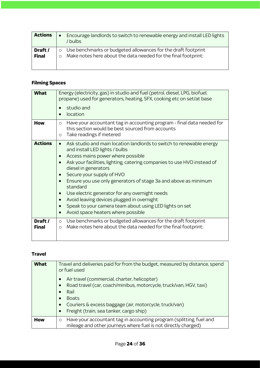| <b>Actions</b>          | $\bullet$ | Encourage landlords to switch to renewable energy and install LED lights<br>/ bulbs                                             |
|-------------------------|-----------|---------------------------------------------------------------------------------------------------------------------------------|
| Draft /<br><b>Final</b> | $\Omega$  | Use benchmarks or budgeted allowances for the draft footprint<br>Make notes here about the data needed for the final footprint: |

### **Filming Spaces**

| <b>What</b>             | Energy (electricity, gas) in studio and fuel (petrol, diesel, LPG, biofuel,<br>propane) used for generators, heating, SFX, cooking etc on set/at base<br>studio and<br>location                                                                                                                                                                                                                                                                                                                                                                                                       |
|-------------------------|---------------------------------------------------------------------------------------------------------------------------------------------------------------------------------------------------------------------------------------------------------------------------------------------------------------------------------------------------------------------------------------------------------------------------------------------------------------------------------------------------------------------------------------------------------------------------------------|
| How                     | Have your accountant tag in accounting program - final data needed for<br>$\circ$<br>this section would be best sourced from accounts<br>Take readings if metered<br>$\circ$                                                                                                                                                                                                                                                                                                                                                                                                          |
| <b>Actions</b>          | Ask studio and main location landlords to switch to renewable energy<br>$\bullet$<br>and install LED lights / bulbs<br>Access mains power where possible<br>Ask your facilities, lighting, catering companies to use HVO instead of<br>diesel in generators<br>Secure your supply of HVO<br>Ensure you use only generators of stage 3a and above as minimum<br>standard<br>Use electric generator for any overnight needs<br>Avoid leaving devices plugged in overnight<br>Speak to your camera team about using LED lights on set<br>Avoid space heaters where possible<br>$\bullet$ |
| Draft /<br><b>Final</b> | Use benchmarks or budgeted allowances for the draft footprint<br>$\circ$<br>Make notes here about the data needed for the final footprint:<br>$\circ$                                                                                                                                                                                                                                                                                                                                                                                                                                 |

### **Travel**

| <b>What</b> | Travel and deliveries paid for from the budget, measured by distance, spend<br>or fuel used                                                                                                                                                     |  |
|-------------|-------------------------------------------------------------------------------------------------------------------------------------------------------------------------------------------------------------------------------------------------|--|
|             | Air travel (commercial, charter, helicopter)<br>Road travel (car, coach/minibus, motorcycle, truck/van, HGV, taxi)<br>Rail<br><b>Boats</b><br>Couriers & excess baggage (air, motorcycle, truck/van)<br>Freight (train, sea tanker, cargo ship) |  |
| <b>How</b>  | Have your accountant tag in accounting program (splitting, fuel and<br>$\circ$<br>mileage and other journeys where fuel is not directly charged)                                                                                                |  |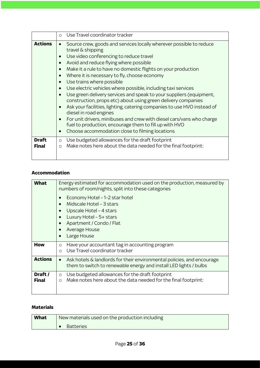|                              | Use Travel coordinator tracker<br>$\bigcap$                                                                                                                                                                                                                                                                                                                                                                                                                                                                                                                                                                                                                                                                                                                                                                                     |
|------------------------------|---------------------------------------------------------------------------------------------------------------------------------------------------------------------------------------------------------------------------------------------------------------------------------------------------------------------------------------------------------------------------------------------------------------------------------------------------------------------------------------------------------------------------------------------------------------------------------------------------------------------------------------------------------------------------------------------------------------------------------------------------------------------------------------------------------------------------------|
| <b>Actions</b>               | Source crew, goods and services locally wherever possible to reduce<br>travel & shipping<br>Use video conferencing to reduce travel<br>Avoid and reduce flying where possible<br>Make it a rule to have no domestic flights on your production<br>Where it is necessary to fly, choose economy<br>Use trains where possible<br>Use electric vehicles where possible, including taxi services<br>Use green delivery services and speak to your suppliers (equipment,<br>construction, props etc) about using green delivery companies<br>Ask your facilities, lighting, catering companies to use HVO instead of<br>diesel in road engines<br>For unit drivers, minibuses and crew with diesel cars/vans who charge<br>fuel to production, encourage them to fill up with HVO<br>Choose accommodation close to filming locations |
| <b>Draft</b><br><b>Final</b> | Use budgeted allowances for the draft footprint<br>$\circ$<br>Make notes here about the data needed for the final footprint:<br>$\bigcirc$                                                                                                                                                                                                                                                                                                                                                                                                                                                                                                                                                                                                                                                                                      |

### **Accommodation**

| <b>What</b>             | Energy estimated for accommodation used on the production, measured by<br>numbers of room/nights, split into these categories<br>Economy Hotel - 1-2 star hotel<br>Midscale Hotel - 3 stars<br>Upscale Hotel - 4 stars<br>Luxury Hotel - 5+ stars<br>Apartment / Condo / Flat<br><b>Average House</b><br>Large House |
|-------------------------|----------------------------------------------------------------------------------------------------------------------------------------------------------------------------------------------------------------------------------------------------------------------------------------------------------------------|
| <b>How</b>              | Have your accountant tag in accounting program<br>$\circ$<br>Use Travel coordinator tracker                                                                                                                                                                                                                          |
| <b>Actions</b>          | Ask hotels & landlords for their environmental policies, and encourage<br>$\bullet$<br>them to switch to renewable energy and install LED lights / bulbs                                                                                                                                                             |
| Draft /<br><b>Final</b> | Use budgeted allowances for the draft footprint<br>$\circ$<br>Make notes here about the data needed for the final footprint:<br>$\Omega$                                                                                                                                                                             |

#### **Materials**

| <b>What</b> | New materials used on the production including |
|-------------|------------------------------------------------|
|             | <b>Batteries</b>                               |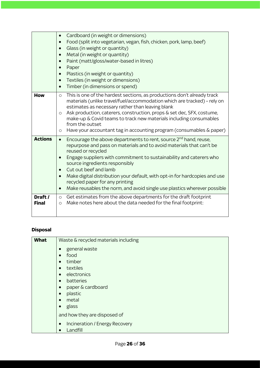|                         | Cardboard (in weight or dimensions)<br>Food (split into vegetarian, vegan, fish, chicken, pork, lamp, beef)<br>$\bullet$<br>Glass (in weight or quantity)<br>Metal (in weight or quantity)<br>$\bullet$<br>Paint (matt/gloss/water-based in litres)<br>Paper<br>Plastics (in weight or quantity)<br>$\bullet$<br>Textiles (in weight or dimensions)<br>$\bullet$<br>Timber (in dimensions or spend)<br>$\bullet$                                                                                                                                                           |
|-------------------------|----------------------------------------------------------------------------------------------------------------------------------------------------------------------------------------------------------------------------------------------------------------------------------------------------------------------------------------------------------------------------------------------------------------------------------------------------------------------------------------------------------------------------------------------------------------------------|
| <b>How</b>              | This is one of the hardest sections, as productions don't already track<br>$\circ$<br>materials (unlike travel/fuel/accommodation which are tracked) - rely on<br>estimates as necessary rather than leaving blank<br>Ask production, caterers, construction, props & set dec, SFX, costume,<br>$\circ$<br>make-up & Covid teams to track new materials including consumables<br>from the outset<br>Have your accountant tag in accounting program (consumables & paper)<br>$\circ$                                                                                        |
| <b>Actions</b>          | Encourage the above departments to rent, source 2 <sup>nd</sup> hand, reuse,<br>$\bullet$<br>repurpose and pass on materials and to avoid materials that can't be<br>reused or recycled<br>Engage suppliers with commitment to sustainability and caterers who<br>$\bullet$<br>source ingredients responsibly<br>Cut out beef and lamb<br>$\bullet$<br>Make digital distribution your default, with opt-in for hardcopies and use<br>$\bullet$<br>recycled paper for any printing<br>Make reusables the norm, and avoid single use plastics wherever possible<br>$\bullet$ |
| Draft /<br><b>Final</b> | Get estimates from the above departments for the draft footprint<br>$\circ$<br>Make notes here about the data needed for the final footprint:<br>$\bigcirc$                                                                                                                                                                                                                                                                                                                                                                                                                |

### **Disposal**

| <b>What</b> | Waste & recycled materials including       |  |
|-------------|--------------------------------------------|--|
|             | general waste                              |  |
|             | food                                       |  |
|             | timber                                     |  |
|             | textiles<br>$\bullet$                      |  |
|             | electronics                                |  |
|             | batteries                                  |  |
|             | paper & cardboard                          |  |
|             | plastic                                    |  |
|             | metal                                      |  |
|             | glass                                      |  |
|             | and how they are disposed of               |  |
|             | Incineration / Energy Recovery<br>Landfill |  |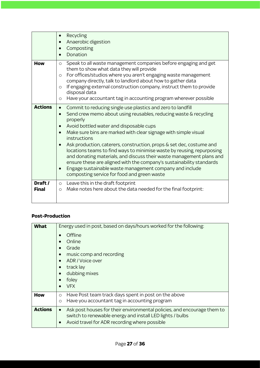|                         | Recycling<br>$\bullet$<br>Anaerobic digestion<br>Composting<br>Donation                                                                                                                                                                                                                                                                                                                                                                                                                                                                                                                                                                                                                                         |
|-------------------------|-----------------------------------------------------------------------------------------------------------------------------------------------------------------------------------------------------------------------------------------------------------------------------------------------------------------------------------------------------------------------------------------------------------------------------------------------------------------------------------------------------------------------------------------------------------------------------------------------------------------------------------------------------------------------------------------------------------------|
| <b>How</b>              | Speak to all waste management companies before engaging and get<br>$\circ$<br>them to show what data they will provide<br>For offices/studios where you aren't engaging waste management<br>$\circ$<br>company directly, talk to landlord about how to gather data<br>If engaging external construction company, instruct them to provide<br>$\circ$<br>disposal data<br>Have your accountant tag in accounting program wherever possible<br>O                                                                                                                                                                                                                                                                  |
| <b>Actions</b>          | Commit to reducing single use plastics and zero to landfill<br>$\bullet$<br>Send crew memo about using reusables, reducing waste & recycling<br>properly<br>Avoid bottled water and disposable cups<br>Make sure bins are marked with clear signage with simple visual<br>instructions<br>Ask production, caterers, construction, props & set dec, costume and<br>locations teams to find ways to minimise waste by reusing, repurposing<br>and donating materials, and discuss their waste management plans and<br>ensure these are aligned with the company's sustainability standards<br>Engage sustainable waste management company and include<br>$\bullet$<br>composting service for food and green waste |
| Draft /<br><b>Final</b> | Leave this in the draft footprint<br>$\circ$<br>Make notes here about the data needed for the final footprint:<br>$\bigcirc$                                                                                                                                                                                                                                                                                                                                                                                                                                                                                                                                                                                    |

#### **Post-Production**

| <b>What</b>    | Energy used in post, based on days/hours worked for the following:<br>Offline<br>Online<br>Grade<br>music comp and recording<br>ADR / Voice over<br>track lay<br>dubbing mixes<br>foley<br>VFX |
|----------------|------------------------------------------------------------------------------------------------------------------------------------------------------------------------------------------------|
| <b>How</b>     | Have Post team track days spent in post on the above<br>$\circ$<br>Have you accountant tag in accounting program<br>$\circ$                                                                    |
| <b>Actions</b> | Ask post houses for their environmental policies, and encourage them to<br>switch to renewable energy and install LED lights / bulbs<br>Avoid travel for ADR recording where possible          |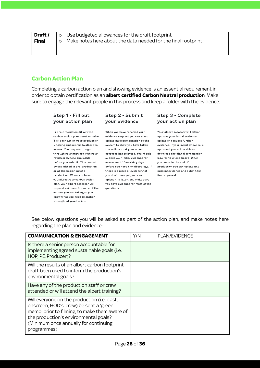|              | <b>Draft /</b> $\vert \circ \vert$ Use budgeted allowances for the draft footprint |
|--------------|------------------------------------------------------------------------------------|
| <b>Final</b> | $\vert$ $\circ$ Make notes here about the data needed for the final footprint:     |
|              |                                                                                    |

### **Carbon Action Plan**

Completing a carbon action plan and showing evidence is an essential requirement in order to obtain certification as an **albert certified Carbon Neutral production**. Make sure to engage the relevant people in this process and keep a folder with the evidence.

#### Step 1 - Fill out your action plan

In pre-production, fill out the carbon action plan questionnaire. Tick each action your production is taking and submit to albert to assess. You may want to go through your answers with your reviewer (where applicable) before you submit. This needs to be submitted in pre-production or at the beginning of a production. When you have submitted your carbon action plan, your albert assessor will request evidence for some of the actions you are taking so you know what you need to gather throughout production.

#### Step 2 - Submit your evidence

When you have received your evidence request you can start uploading documentation to the system to show you have taken the actions that your albert assessor has selected. You should download the digital certification submit your initial evidence for assessment 10 working days before you need the albert logo. If there is a piece of evidenc that you don't have yet, you can upload this later, but make sure you have evidence for most of the questions.

#### Step 3 - Complete your action plan

Your albert assessor will either approve your initial evidence upload or request further evidence. If your initial evidence is approved you will be able to logo for your end board. When you come to the end of production you can upload any missing evidence and submit for final approval.

See below questions you will be asked as part of the action plan, and make notes here regarding the plan and evidence:

| <b>COMMUNICATION &amp; ENGAGEMENT</b>                                                                                                                                                                                                     | Y/N | PLAN/EVIDENCE |
|-------------------------------------------------------------------------------------------------------------------------------------------------------------------------------------------------------------------------------------------|-----|---------------|
| Is there a senior person accountable for<br>implementing agreed sustainable goals (i.e.<br>HOP, PE, Producer)?                                                                                                                            |     |               |
| Will the results of an albert carbon footprint<br>draft been used to inform the production's<br>environmental goals?                                                                                                                      |     |               |
| Have any of the production staff or crew<br>attended or will attend the albert training?                                                                                                                                                  |     |               |
| Will everyone on the production (i.e., cast,<br>onscreen, HOD's, crew) be sent a 'green<br>memo' prior to filming, to make them aware of<br>the production's environmental goals?<br>(Minimum once annually for continuing<br>programmes) |     |               |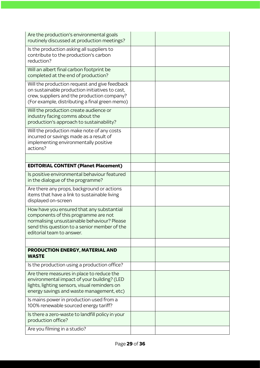| Are the production's environmental goals<br>routinely discussed at production meetings?                                                                                                                       |  |
|---------------------------------------------------------------------------------------------------------------------------------------------------------------------------------------------------------------|--|
| Is the production asking all suppliers to<br>contribute to the production's carbon<br>reduction?                                                                                                              |  |
| Will an albert final carbon footprint be<br>completed at the end of production?                                                                                                                               |  |
| Will the production request and give feedback<br>on sustainable production initiatives to cast,<br>crew, suppliers and the production company?<br>(For example, distributing a final green memo)              |  |
| Will the production create audience or<br>industry facing comms about the<br>production's approach to sustainability?                                                                                         |  |
| Will the production make note of any costs<br>incurred or savings made as a result of<br>implementing environmentally positive<br>actions?                                                                    |  |
|                                                                                                                                                                                                               |  |
| <b>EDITORIAL CONTENT (Planet Placement)</b>                                                                                                                                                                   |  |
| Is positive environmental behaviour featured<br>in the dialogue of the programme?                                                                                                                             |  |
| Are there any props, background or actions<br>items that have a link to sustainable living<br>displayed on-screen                                                                                             |  |
| How have you ensured that any substantial<br>components of this programme are not<br>normalising unsustainable behaviour? Please<br>send this question to a senior member of the<br>editorial team to answer. |  |
|                                                                                                                                                                                                               |  |
| PRODUCTION ENERGY, MATERIAL AND<br><b>WASTE</b>                                                                                                                                                               |  |
| Is the production using a production office?                                                                                                                                                                  |  |
| Are there measures in place to reduce the<br>environmental impact of your building? (LED<br>lights, lighting sensors, visual reminders on<br>energy savings and waste management, etc)                        |  |
| Is mains power in production used from a<br>100% renewable sourced energy tariff?                                                                                                                             |  |
| Is there a zero-waste to landfill policy in your<br>production office?                                                                                                                                        |  |
| Are you filming in a studio?                                                                                                                                                                                  |  |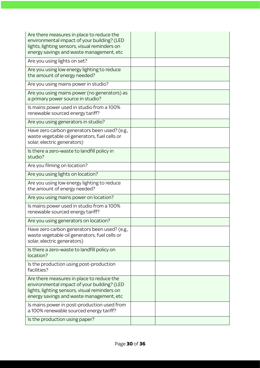| Are there measures in place to reduce the<br>environmental impact of your building? (LED<br>lights, lighting sensors, visual reminders on<br>energy savings and waste management, etc |  |
|---------------------------------------------------------------------------------------------------------------------------------------------------------------------------------------|--|
| Are you using lights on set?                                                                                                                                                          |  |
| Are you using low energy lighting to reduce<br>the amount of energy needed?                                                                                                           |  |
| Are you using mains power in studio?                                                                                                                                                  |  |
| Are you using mains power (no generators) as<br>a primary power source in studio?                                                                                                     |  |
| Is mains power used in studio from a 100%<br>renewable sourced energy tariff?                                                                                                         |  |
| Are you using generators in studio?                                                                                                                                                   |  |
| Have zero carbon generators been used? (e.g.,<br>waste vegetable oil generators, fuel cells or<br>solar, electric generators)                                                         |  |
| Is there a zero-waste to landfill policy in<br>studio?                                                                                                                                |  |
| Are you filming on location?                                                                                                                                                          |  |
| Are you using lights on location?                                                                                                                                                     |  |
| Are you using low energy lighting to reduce<br>the amount of energy needed?                                                                                                           |  |
| Are you using mains power on location?                                                                                                                                                |  |
| Is mains power used in studio from a 100%<br>renewable sourced energy tariff?                                                                                                         |  |
| Are you using generators on location?                                                                                                                                                 |  |
| Have zero carbon generators been used? (e.g.,<br>waste vegetable oil generators, fuel cells or<br>solar, electric generators)                                                         |  |
| Is there a zero-waste to landfill policy on<br>location?                                                                                                                              |  |
| Is the production using post-production<br>facilities?                                                                                                                                |  |
| Are there measures in place to reduce the<br>environmental impact of your building? (LED<br>lights, lighting sensors, visual reminders on<br>energy savings and waste management, etc |  |
| Is mains power in post-production used from<br>a 100% renewable sourced energy tariff?                                                                                                |  |
| Is the production using paper?                                                                                                                                                        |  |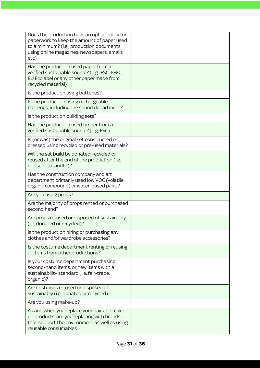| Does the production have an opt-in policy for<br>paperwork to keep the amount of paper used<br>to a minimum? (i.e., production documents,<br>using online magazines, newspapers, emails<br>etc) |  |
|-------------------------------------------------------------------------------------------------------------------------------------------------------------------------------------------------|--|
| Has the production used paper from a<br>verified sustainable source? (e.g., FSC, PEFC,<br>EU Ecolabel or any other paper made from<br>recycled material)                                        |  |
| Is the production using batteries?                                                                                                                                                              |  |
| Is the production using rechargeable<br>batteries, including the sound department?                                                                                                              |  |
| Is the production building sets?                                                                                                                                                                |  |
| Has the production used timber from a<br>verified sustainable source? (e.g. FSC)                                                                                                                |  |
| Is (or was) the original set constructed or<br>dressed using recycled or pre-used materials?                                                                                                    |  |
| Will the set build be donated, recycled or<br>reused after the end of the production (i.e.<br>not sent to landfill)?                                                                            |  |
| Has the construction company and art<br>department primarily used low VOC (volatile<br>organic compound) or water-based paint?                                                                  |  |
| Are you using props?                                                                                                                                                                            |  |
| Are the majority of props rented or purchased<br>second hand?                                                                                                                                   |  |
| Are props re-used or disposed of sustainably<br>(i.e. donated or recycled)?                                                                                                                     |  |
| Is the production hiring or purchasing any<br>clothes and/or wardrobe accessories?                                                                                                              |  |
| Is the costume department renting or reusing<br>all items from other productions?                                                                                                               |  |
| Is your costume department purchasing<br>second-hand items, or new items with a<br>sustainability standard (i.e. fair-trade,<br>organic)?                                                       |  |
| Are costumes re-used or disposed of<br>sustainably (i.e. donated or recycled)?                                                                                                                  |  |
| Are you using make-up?                                                                                                                                                                          |  |
| As and when you replace your hair and make-<br>up products, are you replacing with brands<br>that support the environment as well as using<br>reusable consumables                              |  |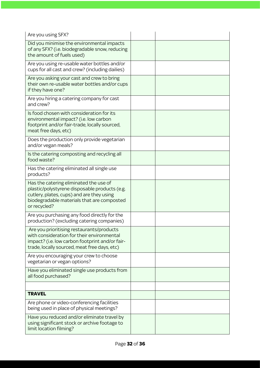| Are you using SFX?                                                                                                                                                                                 |  |
|----------------------------------------------------------------------------------------------------------------------------------------------------------------------------------------------------|--|
| Did you minimise the environmental impacts<br>of any SFX? (i.e. biodegradable snow, reducing<br>the amount of fuels used)                                                                          |  |
| Are you using re-usable water bottles and/or<br>cups for all cast and crew? (including dailies)                                                                                                    |  |
| Are you asking your cast and crew to bring<br>their own re-usable water bottles and/or cups<br>if they have one?                                                                                   |  |
| Are you hiring a catering company for cast<br>and crew?                                                                                                                                            |  |
| Is food chosen with consideration for its<br>environmental impact? (i.e. low carbon<br>footprint and/or fair-trade, locally sourced,<br>meat free days, etc)                                       |  |
| Does the production only provide vegetarian<br>and/or vegan meals?                                                                                                                                 |  |
| Is the catering composting and recycling all<br>food waste?                                                                                                                                        |  |
| Has the catering eliminated all single use<br>products?                                                                                                                                            |  |
| Has the catering eliminated the use of<br>plastic/polystyrene disposable products (e.g.<br>cutlery, plates, cups) and are they using<br>biodegradable materials that are composted<br>or recycled? |  |
| Are you purchasing any food directly for the<br>production? (excluding catering companies)                                                                                                         |  |
| Are you prioritising restaurants/products<br>with consideration for their environmental<br>impact? (i.e. low carbon footprint and/or fair-<br>trade, locally sourced, meat free days, etc)         |  |
| Are you encouraging your crew to choose<br>vegetarian or vegan options?                                                                                                                            |  |
| Have you eliminated single use products from<br>all food purchased?                                                                                                                                |  |
|                                                                                                                                                                                                    |  |
| <b>TRAVEL</b>                                                                                                                                                                                      |  |
| Are phone or video-conferencing facilities<br>being used in place of physical meetings?                                                                                                            |  |
| Have you reduced and/or eliminate travel by<br>using significant stock or archive footage to<br>limit location filming?                                                                            |  |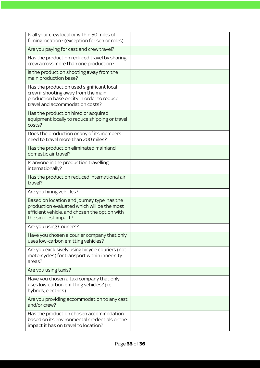| Is all your crew local or within 50 miles of<br>filming location? (exception for senior roles)                                                                      |  |
|---------------------------------------------------------------------------------------------------------------------------------------------------------------------|--|
| Are you paying for cast and crew travel?                                                                                                                            |  |
| Has the production reduced travel by sharing<br>crew across more than one production?                                                                               |  |
| Is the production shooting away from the<br>main production base?                                                                                                   |  |
| Has the production used significant local<br>crew if shooting away from the main<br>production base or city in order to reduce<br>travel and accommodation costs?   |  |
| Has the production hired or acquired<br>equipment locally to reduce shipping or travel<br>costs?                                                                    |  |
| Does the production or any of its members<br>need to travel more than 200 miles?                                                                                    |  |
| Has the production eliminated mainland<br>domestic air travel?                                                                                                      |  |
| Is anyone in the production travelling<br>internationally?                                                                                                          |  |
| Has the production reduced international air<br>travel?                                                                                                             |  |
| Are you hiring vehicles?                                                                                                                                            |  |
| Based on location and journey type, has the<br>production evaluated which will be the most<br>efficient vehicle, and chosen the option with<br>the smallest impact? |  |
| Are you using Couriers?                                                                                                                                             |  |
| Have you chosen a courier company that only<br>uses low-carbon emitting vehicles?                                                                                   |  |
| Are you exclusively using bicycle couriers (not<br>motorcycles) for transport within inner-city<br>areas?                                                           |  |
| Are you using taxis?                                                                                                                                                |  |
| Have you chosen a taxi company that only<br>uses low-carbon emitting vehicles? (i.e.<br>hybrids, electrics)                                                         |  |
| Are you providing accommodation to any cast<br>and/or crew?                                                                                                         |  |
| Has the production chosen accommodation<br>based on its environmental credentials or the<br>impact it has on travel to location?                                    |  |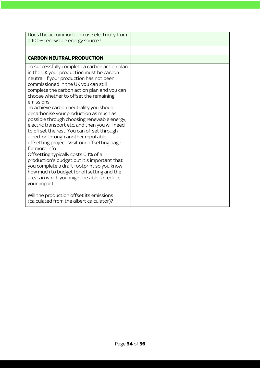| Does the accommodation use electricity from<br>a 100% renewable energy source?                                                                                                                                                                                                                                                                                                                                                                                                                                                                                                                                                                                                                                                                                                                                                                                                     |  |
|------------------------------------------------------------------------------------------------------------------------------------------------------------------------------------------------------------------------------------------------------------------------------------------------------------------------------------------------------------------------------------------------------------------------------------------------------------------------------------------------------------------------------------------------------------------------------------------------------------------------------------------------------------------------------------------------------------------------------------------------------------------------------------------------------------------------------------------------------------------------------------|--|
|                                                                                                                                                                                                                                                                                                                                                                                                                                                                                                                                                                                                                                                                                                                                                                                                                                                                                    |  |
| <b>CARBON NEUTRAL PRODUCTION</b>                                                                                                                                                                                                                                                                                                                                                                                                                                                                                                                                                                                                                                                                                                                                                                                                                                                   |  |
| To successfully complete a carbon action plan<br>in the UK your production must be carbon<br>neutral. If your production has not been<br>commissioned in the UK you can still<br>complete the carbon action plan and you can<br>choose whether to offset the remaining<br>emissions.<br>To achieve carbon neutrality you should<br>decarbonise your production as much as<br>possible through choosing renewable energy,<br>electric transport etc. and then you will need<br>to offset the rest. You can offset through<br>albert or through another reputable<br>offsetting project. Visit our offsetting page<br>for more info.<br>Offsetting typically costs 0.1% of a<br>production's budget but it's important that<br>you complete a draft footprint so you know<br>how much to budget for offsetting and the<br>areas in which you might be able to reduce<br>your impact. |  |
| Will the production offset its emissions<br>(calculated from the albert calculator)?                                                                                                                                                                                                                                                                                                                                                                                                                                                                                                                                                                                                                                                                                                                                                                                               |  |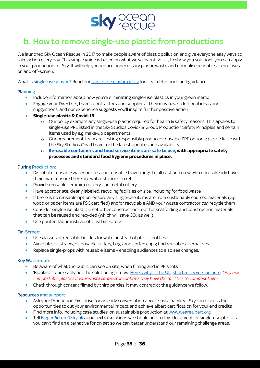

## b. How to remove single-use plastic from productions

We launched Sky Ocean Rescue in 2017 to make people aware of plastic pollution and give everyone easy ways to take action every day. This simple guide is based on what we've learnt so far, to show you solutions you can apply in your production for Sky. It will help you reduce unnecessary plastic waste and normalise reusable alternatives on and off-screen.

What is single-use plastic? Read our single-use plastic policy for clear definitions and guidance.

#### **Planning**

- Include information about how you're eliminating single-use plastics in your green memo
- Engage your Directors, teams, contractors and suppliers they may have additional ideas and suggestions, and our experience suggests you'll inspire further positive action
- **Single-use plastic & Covid-19**
	- o Our policy exempts any single-use plastic required for health & safety reasons. This applies to single-use PPE listed in the Sky Studios Covid-19 Group Production Safety Principles and certain items used by e.g. make-up departments
	- o Our procurement team are testing responsibly produced reusable PPE options; please liaise with the Sky Studios Covid team for the latest updates and availability
	- o **Re-usable containers and food service items are safe to use, with appropriate safety processes and standard food hygiene procedures in place.**

#### **During Production:**

- Distribute reusable water bottles and reusable travel mugs to all cast and crew who don't already have their own – ensure there are water stations to refill
- Provide reusable ceramic crockery and metal cutlery
- Have appropriate, clearly labelled, recycling facilities on site, including for food waste
- If there is no reusable option, ensure any single-use items are from sustainably sourced materials (e.g. wood or paper items are FSC certified) and/or recyclable AND your waste contractor *can* recycle them
- Consider single-use plastic in set other construction opt for scaffolding and construction materials that can be reused and recycled (which will save  $CO<sub>2</sub>$  as well)
- Use printed fabric instead of vinyl backdrops.

#### **On-Screen:**

- Use glasses or reusable bottles for water instead of plastic bottles
- Avoid plastic straws, disposable cutlery, bags and coffee cups; find reusable alternatives
- Replace single-props with reusable items enabling audiences to also see changes.

#### **Key Watch-outs:**

- Be aware of what the public can see on site, when filming and in PR shots
- 'Bioplastics' are sadly not the solution right now. Here's why in the UK; shorter, US version here. *Only use compostable plastics if your waste contractor confirms they have the facilities to compost them*
- Check through content filmed by third parties, it may contradict the guidance we follow.  $\bullet$

#### **Resources and support:**

- Ask your Production Executive for an early conversation about sustainability Sky can discuss the opportunities to cut your environmental impact and achieve albert certification for your end credits
- Find more info, including case studies, on sustainable production at www.wearealbert.org
- Tell BiggerPicture@sky.uk about extra solutions we should add to this document, or single-use plastics you can't find an alternative for on set so we can better understand our remaining challenge areas.